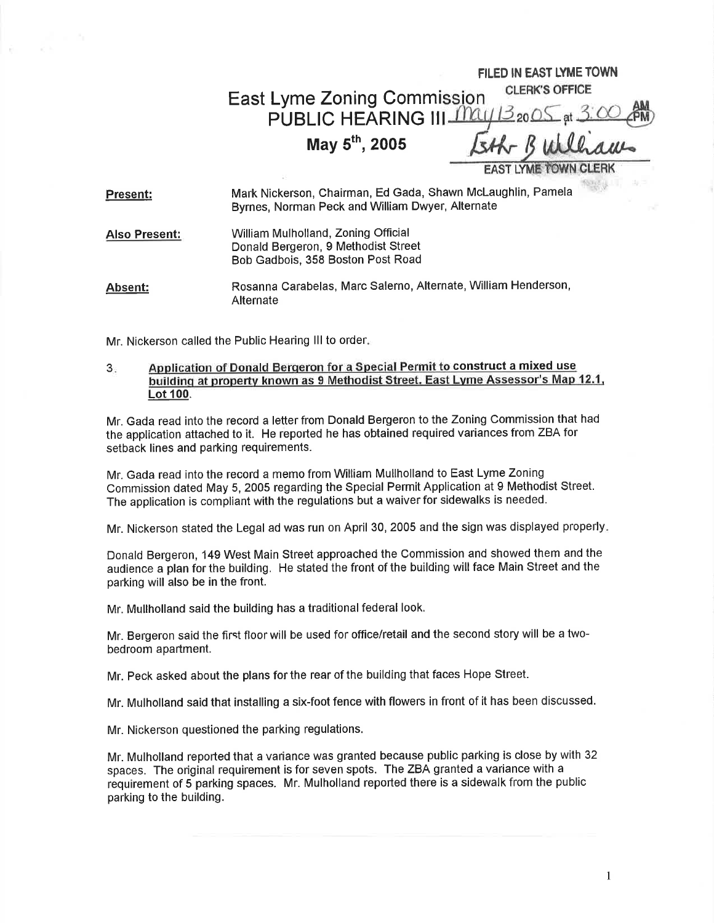## FILED IN EAST LYME TOWN **CLERK'S OFFICE** East Lyme Zoning Commi PUBLIC HEARING III IIIAU  $\geq$  20  $\circ$ May  $5^{th}$ , 2005 **EAST LYME TOWN**

| <b>Present:</b>      | Mark Nickerson, Chairman, Ed Gada, Shawn McLaughlin, Pamela<br>Byrnes, Norman Peck and William Dwyer, Alternate |
|----------------------|-----------------------------------------------------------------------------------------------------------------|
| <b>Also Present:</b> | William Mulholland, Zoning Official<br>Donald Bergeron, 9 Methodist Street<br>Bob Gadbois, 358 Boston Post Road |
| Absent:              | Rosanna Carabelas, Marc Salerno, Alternate, William Henderson,<br>Alternate                                     |

Mr. Nickerson called the Public Hearing III to order.

## $3<sub>1</sub>$ Application of Donald Berqeron for a Special Permit to construct a mixed use buildinq at propertv known as 9 Methodist Street. East Lvme Assessor's Map 12.1. Lot 100.

Mr. Gada read into the record a letter from Donald Bergeron to the Zoning Commission that had the application attached to it. He reported he has obtained required variances from ZBA for setback lines and parking requirements.

Mr. Gada read into the record a memo from William Mullholland to East Lyme Zoning Commission dated May 5, 2005 regarding the Special Permit Application at 9 Methodist Street. The application is compliant with the regulations but a waiver for sidewalks is needed.

Mr. Nickerson stated the Legal ad was run on April 30, 2005 and the sign was displayed properly

Donald Bergeron, 149 West Main Street approached the Commission and showed them and the audience a plan for the building. He stated the front of the building will face Main Street and the parking will also be in the front.

Mr. Mullholland said the building has a traditional federal look.

Mr. Bergeron said the first floor will be used for office/retail and the second story will be a twobedroom apartment.

Mr. Peck asked about the plans for the rear of the building that faces Hope Street.

Mr. Mulholland said that installing a six-foot fence with flowers in front of it has been discussed.

Mr. Nickerson questioned the parking regulations,

Mr. Mulholland reported that a variance was granted because public parking is close by with 32 spaces. The original requirement is for seven spots. The ZBA granted a variance with <sup>a</sup> requirement of 5 parking spaces. Mr. Mulholland reported there is a sidewalk from the public parking to the building.